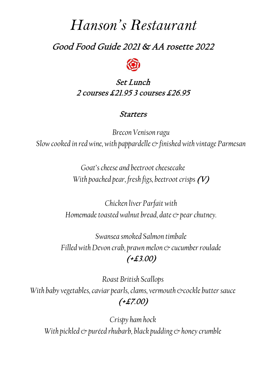# *Hanson's Restaurant*

## Good Food Guide 2021 & AA rosette 2022



### Set Lunch 2 courses £21.95 3 courses £26.95

#### Starters

*Brecon Venison ragu Slow cooked in red wine, with pappardelle & finished with vintage Parmesan*

> *Goat's cheese and beetroot cheesecake With poached pear, fresh figs, beetroot crisps* (V)

*Chicken liver Parfait with Homemade toasted walnut bread, date & pear chutney.*

*Swansea smoked Salmon timbale Filled with Devon crab, prawn melon*  $\infty$  *cucumber roulade* (+£3.00)

*Roast British Scallops* With baby vegetables, caviar pearls, clams, vermouth &cockle butter sauce (+£7.00)

*Crispy ham hock With pickled & puréed rhubarb, black pudding & honey crumble*